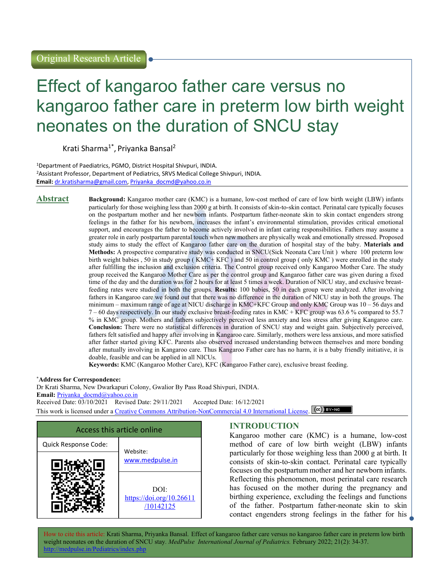# Effect of kangaroo father care versus no kangaroo father care in preterm low birth weight neonates on the duration of SNCU stay

Krati Sharma<sup>1\*</sup>, Priyanka Bansal<sup>2</sup>

<sup>1</sup>Department of Paediatrics, PGMO, District Hospital Shivpuri, INDIA. <sup>2</sup>Assistant Professor, Department of Pediatrics, SRVS Medical College Shivpuri, INDIA. Email: dr.kratisharma@gmail.com, Priyanka\_docmd@yahoo.co.in

Abstract Background: Kangaroo mother care (KMC) is a humane, low-cost method of care of low birth weight (LBW) infants particularly for those weighing less than 2000 g at birth. It consists of skin-to-skin contact. Perinatal care typically focuses on the postpartum mother and her newborn infants. Postpartum father-neonate skin to skin contact engenders strong feelings in the father for his newborn, increases the infant's environmental stimulation, provides critical emotional support, and encourages the father to become actively involved in infant caring responsibilities. Fathers may assume a greater role in early postpartum parental touch when new mothers are physically weak and emotionally stressed. Proposed study aims to study the effect of Kangaroo father care on the duration of hospital stay of the baby. Materials and Methods: A prospective comparative study was conducted in SNCU(Sick Neonata Care Unit ) where 100 preterm low birth weight babies , 50 in study group ( KMC+ KFC ) and 50 in control group ( only KMC ) were enrolled in the study after fulfilling the inclusion and exclusion criteria. The Control group received only Kangaroo Mother Care. The study group received the Kangaroo Mother Care as per the control group and Kangaroo father care was given during a fixed time of the day and the duration was for 2 hours for at least 5 times a week. Duration of NICU stay, and exclusive breastfeeding rates were studied in both the groups. Results: 100 babies, 50 in each group were analyzed. After involving fathers in Kangaroo care we found out that there was no difference in the duration of NICU stay in both the groups. The minimum – maximum range of age at NICU discharge in KMC+KFC Group and only KMC Group was 10 – 56 days and 7 – 60 days respectively. In our study exclusive breast-feeding rates in KMC + KFC group was 63.6 % compared to 55.7 % in KMC group. Mothers and fathers subjectively perceived less anxiety and less stress after giving Kangaroo care. Conclusion: There were no statistical differences in duration of SNCU stay and weight gain. Subjectively perceived, fathers felt satisfied and happy after involving in Kangaroo care. Similarly, mothers were less anxious, and more satisfied after father started giving KFC. Parents also observed increased understanding between themselves and more bonding after mutually involving in Kangaroo care. Thus Kangaroo Father care has no harm, it is a baby friendly initiative, it is doable, feasible and can be applied in all NICUs.

Keywords: KMC (Kangaroo Mother Care), KFC (Kangaroo Father care), exclusive breast feeding.

#### \*Address for Correspondence:

Dr Krati Sharma, New Dwarkapuri Colony, Gwalior By Pass Road Shivpuri, INDIA. Email: Priyanka\_docmd@yahoo.co.in Received Date: 03/10/2021 Revised Date: 29/11/2021 Accepted Date: 16/12/2021 This work is licensed under a Creative Commons Attribution-NonCommercial 4.0 International License. CCC BY-NO



## INTRODUCTION

Kangaroo mother care (KMC) is a humane, low-cost method of care of low birth weight (LBW) infants particularly for those weighing less than 2000 g at birth. It consists of skin-to-skin contact. Perinatal care typically focuses on the postpartum mother and her newborn infants. Reflecting this phenomenon, most perinatal care research has focused on the mother during the pregnancy and birthing experience, excluding the feelings and functions of the father. Postpartum father-neonate skin to skin contact engenders strong feelings in the father for his

How to cite this article: Krati Sharma, Priyanka Bansal. Effect of kangaroo father care versus no kangaroo father care in preterm low birth weight neonates on the duration of SNCU stay. MedPulse International Journal of Pediatrics. February 2022; 21(2): 34-37. http://medpulse.in/Pediatrics/index.php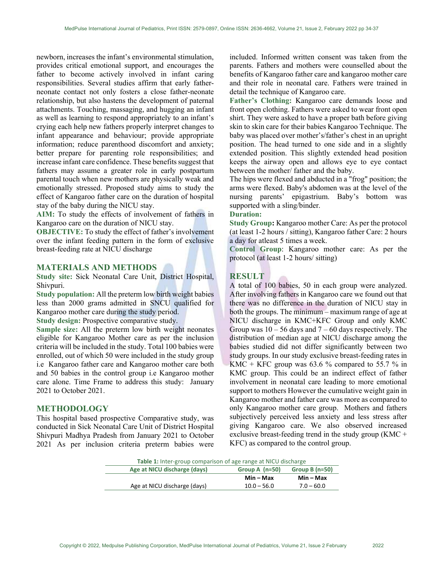newborn, increases the infant's environmental stimulation, provides critical emotional support, and encourages the father to become actively involved in infant caring responsibilities. Several studies affirm that early fatherneonate contact not only fosters a close father-neonate relationship, but also hastens the development of paternal attachments. Touching, massaging, and hugging an infant as well as learning to respond appropriately to an infant's crying each help new fathers properly interpret changes to infant appearance and behaviour; provide appropriate information; reduce parenthood discomfort and anxiety; better prepare for parenting role responsibilities; and increase infant care confidence. These benefits suggest that fathers may assume a greater role in early postpartum parental touch when new mothers are physically weak and emotionally stressed. Proposed study aims to study the effect of Kangaroo father care on the duration of hospital stay of the baby during the NICU stay.

AIM: To study the effects of involvement of fathers in Kangaroo care on the duration of NICU stay.

OBJECTIVE: To study the effect of father's involvement over the infant feeding pattern in the form of exclusive breast-feeding rate at NICU discharge

#### MATERIALS AND METHODS

Study site: Sick Neonatal Care Unit, District Hospital, Shivpuri.

Study population: All the preterm low birth weight babies less than 2000 grams admitted in SNCU qualified for Kangaroo mother care during the study period.

Study design: Prospective comparative study.

Sample size: All the preterm low birth weight neonates eligible for Kangaroo Mother care as per the inclusion criteria will be included in the study. Total 100 babies were enrolled, out of which 50 were included in the study group i.e Kangaroo father care and Kangaroo mother care both and 50 babies in the control group i.e Kangaroo mother care alone. Time Frame to address this study: January 2021 to October 2021.

#### METHODOLOGY

This hospital based prospective Comparative study, was conducted in Sick Neonatal Care Unit of District Hospital Shivpuri Madhya Pradesh from January 2021 to October 2021 As per inclusion criteria preterm babies were

included. Informed written consent was taken from the parents. Fathers and mothers were counselled about the benefits of Kangaroo father care and kangaroo mother care and their role in neonatal care. Fathers were trained in detail the technique of Kangaroo care.

Father's Clothing: Kangaroo care demands loose and front open clothing. Fathers were asked to wear front open shirt. They were asked to have a proper bath before giving skin to skin care for their babies Kangaroo Technique. The baby was placed over mother's/father's chest in an upright position. The head turned to one side and in a slightly extended position. This slightly extended head position keeps the airway open and allows eye to eye contact between the mother/ father and the baby.

The hips were flexed and abducted in a "frog" position; the arms were flexed. Baby's abdomen was at the level of the nursing parents' epigastrium. Baby's bottom was supported with a sling/binder.

#### Duration:

Study Group: Kangaroo mother Care: As per the protocol (at least 1-2 hours / sitting), Kangaroo father Care: 2 hours a day for atleast 5 times a week.

Control Group: Kangaroo mother care: As per the protocol (at least 1-2 hours/ sitting)

#### **RESULT**

A total of 100 babies, 50 in each group were analyzed. After involving fathers in Kangaroo care we found out that there was no difference in the duration of NICU stay in both the groups. The minimum – maximum range of age at NICU discharge in KMC+KFC Group and only KMC Group was  $10 - 56$  days and  $7 - 60$  days respectively. The distribution of median age at NICU discharge among the babies studied did not differ significantly between two study groups. In our study exclusive breast-feeding rates in KMC + KFC group was 63.6 % compared to 55.7 % in KMC group. This could be an indirect effect of father involvement in neonatal care leading to more emotional support to mothers However the cumulative weight gain in Kangaroo mother and father care was more as compared to only Kangaroo mother care group. Mothers and fathers subjectively perceived less anxiety and less stress after giving Kangaroo care. We also observed increased exclusive breast-feeding trend in the study group (KMC + KFC) as compared to the control group.

|                              | <b>Table 1:</b> Inter-group comparison of age range at NICU discharge |                  |
|------------------------------|-----------------------------------------------------------------------|------------------|
| Age at NICU discharge (days) | Group A $(n=50)$                                                      | Group B $(n=50)$ |
|                              | Min – Max                                                             | Min – Max        |
| Age at NICU discharge (days) | $10.0 - 56.0$                                                         | $7.0 - 60.0$     |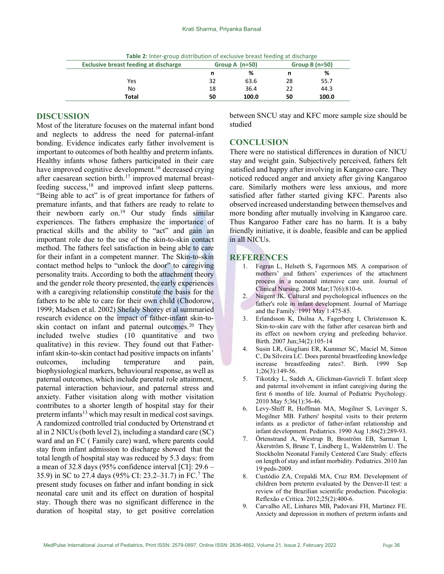| <b>Exclusive breast feeding at discharge</b> | Group A $(n=50)$ |       | Group B $(n=50)$ |       |
|----------------------------------------------|------------------|-------|------------------|-------|
|                                              | n                | %     | n                | %     |
| Yes                                          | 32               | 63.6  | 28               | 55.7  |
| No                                           | 18               | 36.4  | 22               | 44.3  |
| Total                                        | 50               | 100.0 | 50               | 100.0 |

Table 2: Inter-group distribution of exclusive breast feeding at discharge

# DISCUSSION

Most of the literature focuses on the maternal infant bond and neglects to address the need for paternal-infant bonding. Evidence indicates early father involvement is important to outcomes of both healthy and preterm infants. Healthy infants whose fathers participated in their care have improved cognitive development.<sup>16</sup> decreased crying after caesarean section birth.17 improved maternal breastfeeding success,<sup>18</sup> and improved infant sleep patterns. "Being able to act" is of great importance for fathers of premature infants, and that fathers are ready to relate to their newborn early on.<sup>19</sup> Our study finds similar experiences. The fathers emphasize the importance of practical skills and the ability to "act" and gain an important role due to the use of the skin-to-skin contact method. The fathers feel satisfaction in being able to care for their infant in a competent manner. The Skin-to-skin contact method helps to "unlock the door" to caregiving personality traits. According to both the attachment theory and the gender role theory presented, the early experiences with a caregiving relationship constitute the basis for the fathers to be able to care for their own child (Chodorow, 1999; Madsen et al. 2002) Shefaly Shorey et al summaried research evidence on the impact of father-infant skin-toskin contact on infant and paternal outcomes.<sup>20</sup> They included twelve studies (10 quantitative and two qualitative) in this review. They found out that Fatherinfant skin-to-skin contact had positive impacts on infants' outcomes, including temperature and pain, biophysiological markers, behavioural response, as well as paternal outcomes, which include parental role attainment, paternal interaction behaviour, and paternal stress and anxiety. Father visitation along with mother visitation contributes to a shorter length of hospital stay for their preterm infants<sup>13</sup> which may result in medical cost savings. A randomized controlled trial conducted by Ortenstrand et al in 2 NICUs (both level 2), including a standard care (SC) ward and an FC ( Family care) ward, where parents could stay from infant admission to discharge showed that the total length of hospital stay was reduced by 5.3 days: from a mean of 32.8 days (95% confidence interval [CI]: 29.6 – 35.9) in SC to 27.4 days (95% CI: 23.2–31.7) in FC.<sup>7</sup> The present study focuses on father and infant bonding in sick neonatal care unit and its effect on duration of hospital stay. Though there was no significant difference in the duration of hospital stay, to get positive correlation

between SNCU stay and KFC more sample size should be studied

### **CONCLUSION**

There were no statistical differences in duration of NICU stay and weight gain. Subjectively perceived, fathers felt satisfied and happy after involving in Kangaroo care. They noticed reduced anger and anxiety after giving Kangaroo care. Similarly mothers were less anxious, and more satisfied after father started giving KFC. Parents also observed increased understanding between themselves and more bonding after mutually involving in Kangaroo care. Thus Kangaroo Father care has no harm. It is a baby friendly initiative, it is doable, feasible and can be applied in all NICUs.

#### **REFERENCES**

- 1. Fegran L, Helseth S, Fagermoen MS. A comparison of mothers' and fathers' experiences of the attachment process in a neonatal intensive care unit. Journal of Clinical Nursing. 2008 Mar;17(6):810-6.
- 2. Nugent JK. Cultural and psychological influences on the father's role in infant development. Journal of Marriage and the Family. 1991 May 1:475-85.
- 3. Erlandsson K, Dsilna A, Fagerberg I, Christensson K. Skin-to-skin care with the father after cesarean birth and its effect on newborn crying and prefeeding behavior. Birth. 2007 Jun;34(2):105-14
- 4. Susin LR, Giugliani ER, Kummer SC, Maciel M, Simon C, Da Silveira LC. Does parental breastfeeding knowledge increase breastfeeding rates?. Birth. 1999 Sep 1;26(3):149-56.
- 5. Tikotzky L, Sadeh A, Glickman-Gavrieli T. Infant sleep and paternal involvement in infant caregiving during the first 6 months of life. Journal of Pediatric Psychology. 2010 May 5;36(1):36-46.
- 6. Levy-Shiff R, Hoffman MA, Mogilner S, Levinger S, Mogilner MB. Fathers' hospital visits to their preterm infants as a predictor of father-infant relationship and infant development. Pediatrics. 1990 Aug 1;86(2):289-93.
- 7. Örtenstrand A, Westrup B, Broström EB, Sarman I, Åkerström S, Brune T, Lindberg L, Waldenström U. The Stockholm Neonatal Family Centered Care Study: effects on length of stay and infant morbidity. Pediatrics. 2010 Jan 19:peds-2009.
- 8. Custódio ZA, Crepaldi MA, Cruz RM. Development of children born preterm evaluated by the Denver-II test: a review of the Brazilian scientific production. Psicologia: Reflexão e Crítica. 2012;25(2):400-6.
- 9. Carvalho AE, Linhares MB, Padovani FH, Martinez FE. Anxiety and depression in mothers of preterm infants and